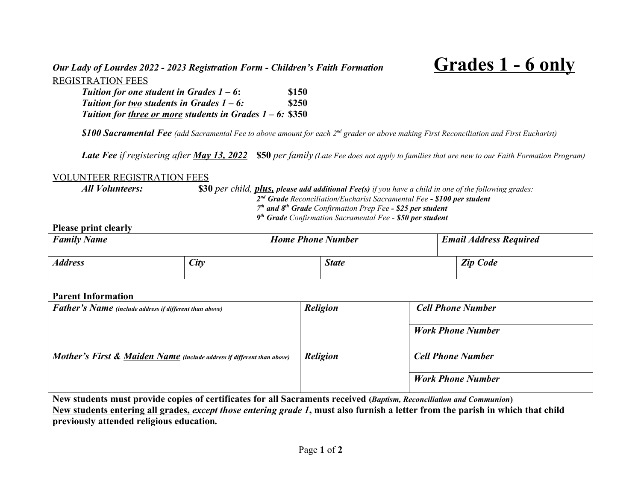# *Our Lady of Lourdes 2022 - 2023 Registration Form - Children's Faith Formation* **Grades 1 - 6 only** REGISTRATION FEES

| Tuition for <u>one</u> student in Grades $1 - 6$ :           | \$150        |
|--------------------------------------------------------------|--------------|
| Tuition for <u>two</u> students in Grades $1 - 6$ :          | <b>\$250</b> |
| Tuition for three or more students in Grades $1 - 6$ : \$350 |              |

*\$100 Sacramental Fee (add Sacramental Fee to above amount for each 2nd grader or above making First Reconciliation and First Eucharist)*

*Late Fee if registering after May 13, 2022* **\$50** *per family (Late Fee does not apply to families that are new to our Faith Formation Program)*

## VOLUNTEER REGISTRATION FEES

*All Volunteers:* **\$30** *per child, plus, please add additional Fee(s) if you have a child in one of the following grades: nd Grade Reconciliation/Eucharist Sacramental Fee - \$100 per student th and 8 th Grade Confirmation Prep Fee - \$25 per student th Grade Confirmation Sacramental Fee - \$50 per student*

# **Please print clearly**

| <b>Family Name</b> |      | <b>Home Phone Number</b> |              |  | <b>Email Address Required</b> |  |  |
|--------------------|------|--------------------------|--------------|--|-------------------------------|--|--|
| <b>Address</b>     | City |                          | <b>State</b> |  | <b>Zip Code</b>               |  |  |

## **Parent Information**

| <b>Father's Name</b> (include address if different than above)                    | <b>Religion</b> | <b>Cell Phone Number</b> |  |  |
|-----------------------------------------------------------------------------------|-----------------|--------------------------|--|--|
|                                                                                   |                 | <b>Work Phone Number</b> |  |  |
| <b>Mother's First &amp; Maiden Name</b> (include address if different than above) | <b>Religion</b> | <b>Cell Phone Number</b> |  |  |
|                                                                                   |                 | <b>Work Phone Number</b> |  |  |

**New students must provide copies of certificates for all Sacraments received (***Baptism, Reconciliation and Communion***) New students entering all grades,** *except those entering grade 1***, must also furnish a letter from the parish in which that child previously attended religious education***.*